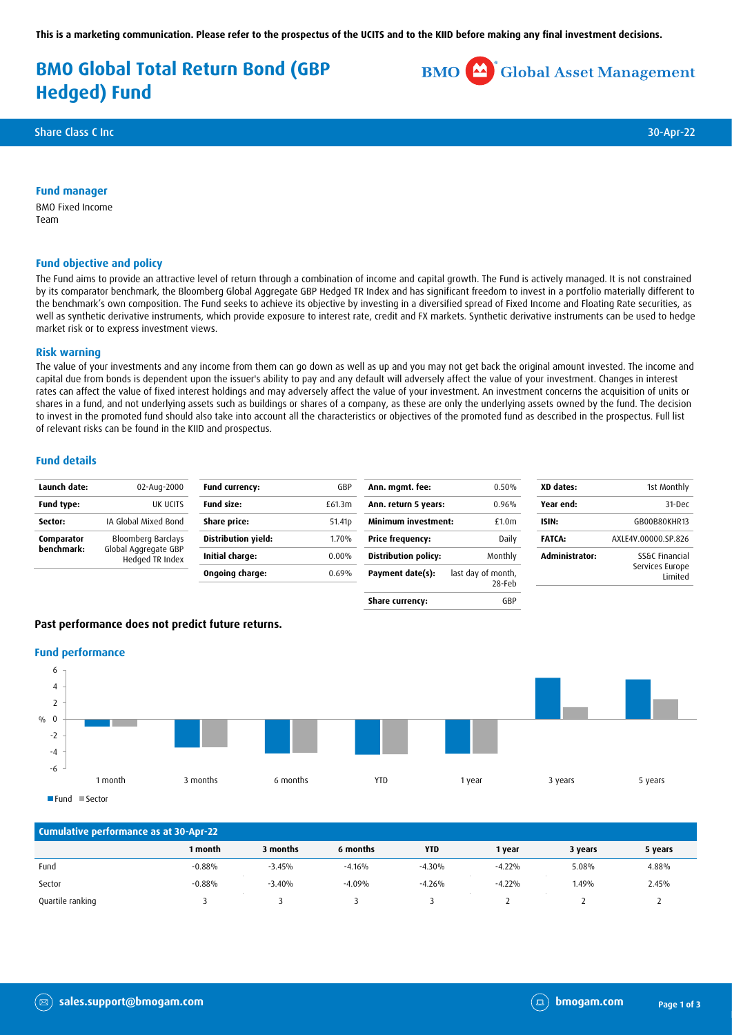**This is a marketing communication. Please refer to the prospectus of the UCITS and to the KIID before making any final investment decisions.**

# **BMO Global Total Return Bond (GBP Hedged) Fund**

**BMO** Global Asset Management

Share Class C Inc 30-Apr-22

#### **Fund manager**

BMO Fixed Income Team

## **Fund objective and policy**

The Fund aims to provide an attractive level of return through a combination of income and capital growth. The Fund is actively managed. It is not constrained by its comparator benchmark, the Bloomberg Global Aggregate GBP Hedged TR Index and has significant freedom to invest in a portfolio materially different to the benchmark's own composition. The Fund seeks to achieve its objective by investing in a diversified spread of Fixed Income and Floating Rate securities, as well as synthetic derivative instruments, which provide exposure to interest rate, credit and FX markets. Synthetic derivative instruments can be used to hedge market risk or to express investment views.

#### **Risk warning**

The value of your investments and any income from them can go down as well as up and you may not get back the original amount invested. The income and capital due from bonds is dependent upon the issuer's ability to pay and any default will adversely affect the value of your investment. Changes in interest rates can affect the value of fixed interest holdings and may adversely affect the value of your investment. An investment concerns the acquisition of units or shares in a fund, and not underlying assets such as buildings or shares of a company, as these are only the underlying assets owned by the fund. The decision to invest in the promoted fund should also take into account all the characteristics or objectives of the promoted fund as described in the prospectus. Full list of relevant risks can be found in the KIID and prospectus.

#### **Fund details**

| Launch date:      | 02-Aug-2000                             | <b>Fund currency:</b>      | GBP                | Ann. mgmt. fee:             | 0.50%                        | XD dates:      | 1st Monthly                |
|-------------------|-----------------------------------------|----------------------------|--------------------|-----------------------------|------------------------------|----------------|----------------------------|
| <b>Fund type:</b> | UK UCITS                                | <b>Fund size:</b>          | £61.3m             | Ann. return 5 years:        | 0.96%                        | Year end:      | 31-Dec                     |
| Sector:           | IA Global Mixed Bond                    | Share price:               | 51.41 <sub>p</sub> | <b>Minimum investment:</b>  | £1.0 <sub>m</sub>            | ISIN:          | GB00B80KHR13               |
| Comparator        | Bloomberg Barclays                      | <b>Distribution yield:</b> | 1.70%              | Price frequency:            | Daily                        | <b>FATCA:</b>  | AXLE4V.00000.SP.826        |
| benchmark:        | Global Aggregate GBP<br>Hedged TR Index | Initial charge:            | $0.00\%$           | <b>Distribution policy:</b> | Monthly                      | Administrator: | SS&C Financial             |
|                   |                                         | Ongoing charge:            | 0.69%              | Payment date(s):            | last day of month,<br>28-Feb |                | Services Europe<br>Limited |
|                   |                                         |                            |                    | Share currency:             | GBP                          |                |                            |

## **Past performance does not predict future returns.**

#### **Fund performance**



Fund Sector

| Cumulative performance as at 30-Apr-22 |          |          |          |            |          |         |         |
|----------------------------------------|----------|----------|----------|------------|----------|---------|---------|
|                                        | 1 month  | 3 months | 6 months | <b>YTD</b> | 1 year   | 3 years | 5 years |
| Fund                                   | $-0.88%$ | $-3.45%$ | $-4.16%$ | $-4.30%$   | $-4.22%$ | 5.08%   | 4.88%   |
| Sector                                 | $-0.88%$ | $-3.40%$ | $-4.09%$ | $-4.26%$   | $-4.22%$ | 1.49%   | 2.45%   |
| Quartile ranking                       |          |          |          |            |          |         |         |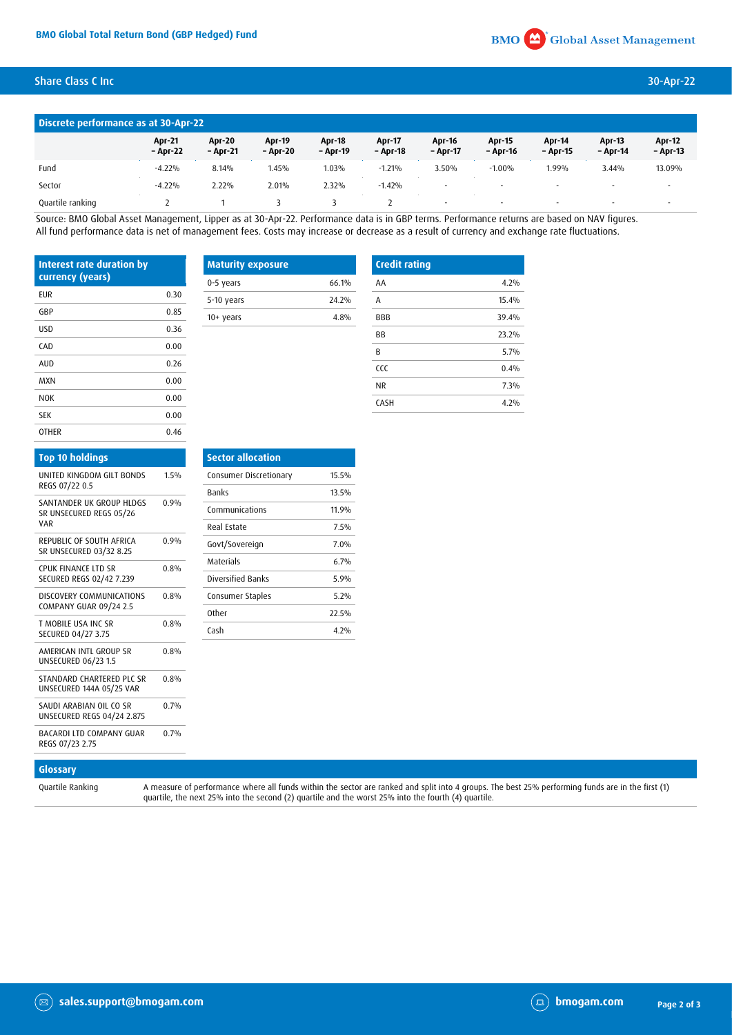# Share Class C Inc 30-Apr-22

| Discrete performance as at 30-Apr-22 |                           |                           |                           |                           |                           |                           |                          |                          |                           |                           |
|--------------------------------------|---------------------------|---------------------------|---------------------------|---------------------------|---------------------------|---------------------------|--------------------------|--------------------------|---------------------------|---------------------------|
|                                      | <b>Apr-21</b><br>- Apr-22 | <b>Apr-20</b><br>- Apr-21 | <b>Apr-19</b><br>– Apr-20 | <b>Apr-18</b><br>– Apr-19 | <b>Apr-17</b><br>- Apr-18 | <b>Apr-16</b><br>- Apr-17 | Apr 15<br>- Apr-16       | Apr-14<br>- Apr-15       | <b>Apr 13</b><br>- Apr-14 | <b>Apr-12</b><br>- Apr-13 |
| Fund                                 | $-4.22%$                  | 8.14%                     | 1.45%                     | $1.03\%$                  | $-1.21%$                  | 3.50%                     | $-1.00%$                 | 1.99%                    | 3.44%                     | 13.09%                    |
| Sector                               | $-4.22%$                  | 2.22%                     | 2.01%                     | 2.32%                     | $-1.42%$                  | $\overline{\phantom{a}}$  | $\overline{\phantom{a}}$ | $\overline{\phantom{a}}$ |                           | $\overline{\phantom{a}}$  |
| Quartile ranking                     |                           |                           |                           |                           |                           |                           | $\overline{\phantom{a}}$ | $\overline{\phantom{a}}$ |                           |                           |

Source: BMO Global Asset Management, Lipper as at 30-Apr-22. Performance data is in GBP terms. Performance returns are based on NAV figures. All fund performance data is net of management fees. Costs may increase or decrease as a result of currency and exchange rate fluctuations.

| <b>Interest rate duration by</b><br>currency (years) |      | <b>Maturity exposure</b> |       | <b>Credit rating</b> |       |  |
|------------------------------------------------------|------|--------------------------|-------|----------------------|-------|--|
|                                                      |      | 0-5 years                | 66.1% | AA                   | 4.2%  |  |
| <b>EUR</b>                                           | 0.30 | 5-10 years               | 24.2% | A                    | 15.4% |  |
| GBP                                                  | 0.85 | $10+$ years              | 4.8%  | BBB                  | 39.4% |  |
| USD                                                  | 0.36 |                          |       | BB                   | 23.2% |  |
| CAD                                                  | 0.00 |                          |       | B                    | 5.7%  |  |
| AUD                                                  | 0.26 |                          |       | ccc                  | 0.4%  |  |
| <b>MXN</b>                                           | 0.00 |                          |       | <b>NR</b>            | 7.3%  |  |
| <b>NOK</b>                                           | 0.00 |                          |       | CASH                 | 4.2%  |  |
| <b>SEK</b>                                           | 0.00 |                          |       |                      |       |  |

|      | <b>Sector</b> |
|------|---------------|
| 1.5% | Consum        |
|      | <b>Banks</b>  |
|      | Commu         |
|      | Real Es       |
| 0.9% | Govt/S        |
|      | Materia       |
|      | Diversit      |
| 0.8% | Consum        |
|      | Other         |
| 0.8% | Cash          |
| 0.8% |               |
| 0.8% |               |
| 0.7% |               |
| 0.7% |               |
|      | 0.9%<br>0.8%  |

OTHER 0.46

| <b>Sector allocation</b> |       |
|--------------------------|-------|
| Consumer Discretionary   | 15.5% |
| <b>Banks</b>             | 13.5% |
| Communications           | 11.9% |
| Real Estate              | 7.5%  |
| Govt/Sovereign           | 7.0%  |
| <b>Materials</b>         | 6.7%  |
| <b>Diversified Banks</b> | 5.9%  |
| Consumer Staples         | 5.2%  |
| <b>Other</b>             | 22.5% |
| Cash                     | 4.2%  |
|                          |       |

# **Glossary**

Quartile Ranking A measure of performance where all funds within the sector are ranked and split into 4 groups. The best 25% performing funds are in the first (1) quartile, the next 25% into the second (2) quartile and the worst 25% into the fourth (4) quartile.